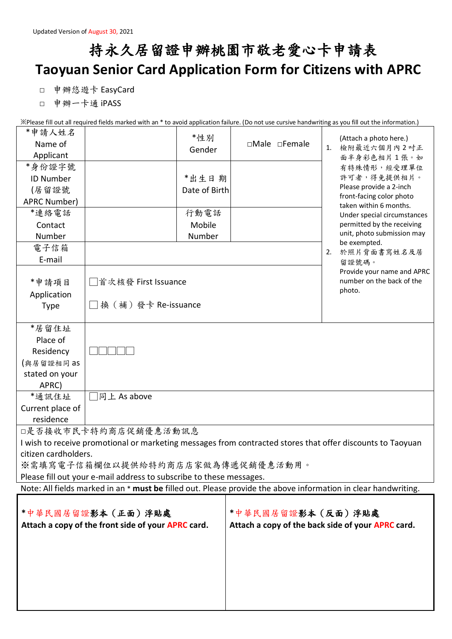## 持永久居留證申辦桃園市敬老愛心卡申請表 **Taoyuan Senior Card Application Form for Citizens with APRC**

□ 申辦悠遊卡 EasyCard

□ 申辦一卡通 iPASS

※Please fill out all required fields marked with an \* to avoid application failure. (Do not use cursive handwriting as you fill out the information.)  $* + 11$ 

| 甲請人姓名                                                                                                          |                      | *性别           |  |                   |    | (Attach a photo here.)                            |
|----------------------------------------------------------------------------------------------------------------|----------------------|---------------|--|-------------------|----|---------------------------------------------------|
| Name of                                                                                                        |                      | Gender        |  | □Male □Female     | 1. | 檢附最近六個月內2吋正                                       |
| Applicant                                                                                                      |                      |               |  |                   |    | 面半身彩色相片1張。如                                       |
| *身份證字號                                                                                                         |                      |               |  |                   |    | 有特殊情形,經受理單位                                       |
| <b>ID Number</b>                                                                                               |                      | *出生日期         |  |                   |    | 許可者,得免提供相片。<br>Please provide a 2-inch            |
| (居留證號                                                                                                          |                      | Date of Birth |  |                   |    | front-facing color photo                          |
| APRC Number)                                                                                                   |                      |               |  |                   |    | taken within 6 months.                            |
| *連絡電話                                                                                                          |                      | 行動電話          |  |                   |    | Under special circumstances                       |
| Contact                                                                                                        |                      | Mobile        |  |                   |    | permitted by the receiving                        |
| Number                                                                                                         |                      | Number        |  |                   |    | unit, photo submission may<br>be exempted.        |
| 電子信箱                                                                                                           |                      |               |  |                   | 2. | 於照片背面書寫姓名及居                                       |
| E-mail                                                                                                         |                      |               |  |                   |    | 留證號碼。                                             |
|                                                                                                                |                      |               |  |                   |    | Provide your name and APRC                        |
| *申請項目                                                                                                          | □首次核發 First Issuance |               |  |                   |    | number on the back of the                         |
| Application                                                                                                    |                      |               |  |                   |    | photo.                                            |
| <b>Type</b>                                                                                                    | □換 (補)發卡 Re-issuance |               |  |                   |    |                                                   |
|                                                                                                                |                      |               |  |                   |    |                                                   |
| *居留住址                                                                                                          |                      |               |  |                   |    |                                                   |
| Place of                                                                                                       |                      |               |  |                   |    |                                                   |
| Residency                                                                                                      |                      |               |  |                   |    |                                                   |
| (與居留證相同 as                                                                                                     |                      |               |  |                   |    |                                                   |
| stated on your                                                                                                 |                      |               |  |                   |    |                                                   |
| APRC)                                                                                                          |                      |               |  |                   |    |                                                   |
| *通訊住址                                                                                                          | 同上 As above          |               |  |                   |    |                                                   |
| Current place of                                                                                               |                      |               |  |                   |    |                                                   |
| residence                                                                                                      |                      |               |  |                   |    |                                                   |
| □是否接收市民卡特約商店促銷優惠活動訊息                                                                                           |                      |               |  |                   |    |                                                   |
| I wish to receive promotional or marketing messages from contracted stores that offer discounts to Taoyuan     |                      |               |  |                   |    |                                                   |
| citizen cardholders.                                                                                           |                      |               |  |                   |    |                                                   |
| ※需填寫電子信箱欄位以提供給特約商店店家做為傳遞促銷優惠活動用。                                                                               |                      |               |  |                   |    |                                                   |
| Please fill out your e-mail address to subscribe to these messages.                                            |                      |               |  |                   |    |                                                   |
| Note: All fields marked in an * must be filled out. Please provide the above information in clear handwriting. |                      |               |  |                   |    |                                                   |
|                                                                                                                |                      |               |  |                   |    |                                                   |
| *中華民國居留證影本 (正面) 浮貼處                                                                                            |                      |               |  | *中華民國居留證影本(反面)浮貼處 |    |                                                   |
| Attach a copy of the front side of your APRC card.                                                             |                      |               |  |                   |    | Attach a copy of the back side of your APRC card. |
|                                                                                                                |                      |               |  |                   |    |                                                   |
|                                                                                                                |                      |               |  |                   |    |                                                   |
|                                                                                                                |                      |               |  |                   |    |                                                   |
|                                                                                                                |                      |               |  |                   |    |                                                   |
|                                                                                                                |                      |               |  |                   |    |                                                   |
|                                                                                                                |                      |               |  |                   |    |                                                   |
|                                                                                                                |                      |               |  |                   |    |                                                   |